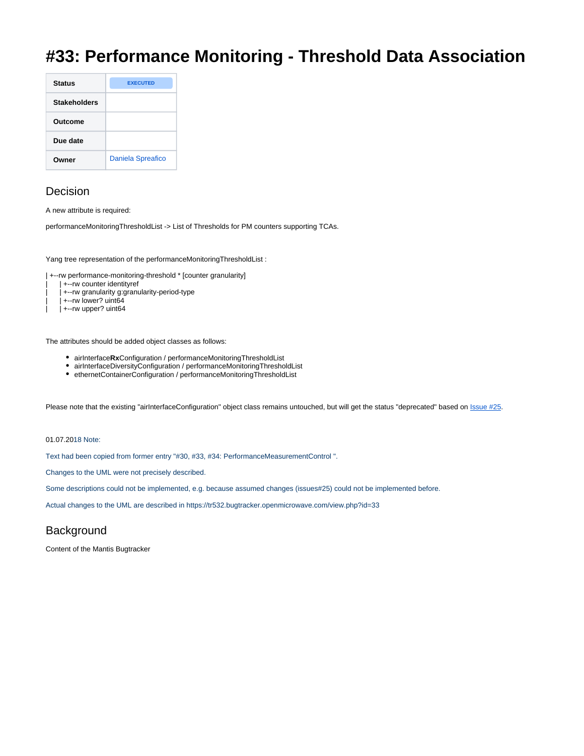## **#33: Performance Monitoring - Threshold Data Association**

| <b>Status</b>       | <b>EXECUTED</b>          |
|---------------------|--------------------------|
| <b>Stakeholders</b> |                          |
| Outcome             |                          |
| Due date            |                          |
| Owner               | <b>Daniela Spreafico</b> |

## Decision

A new attribute is required:

performanceMonitoringThresholdList -> List of Thresholds for PM counters supporting TCAs.

Yang tree representation of the performanceMonitoringThresholdList :

| +--rw performance-monitoring-threshold \* [counter granularity]

- | +--rw counter identityref
- | | +--rw granularity g:granularity-period-type
- | +--rw lower? uint64
- | +--rw upper? uint64

The attributes should be added object classes as follows:

- airInterface**Rx**Configuration / performanceMonitoringThresholdList
- airInterfaceDiversityConfiguration / performanceMonitoringThresholdList
- ethernetContainerConfiguration / performanceMonitoringThresholdList

Please note that the existing "airInterfaceConfiguration" object class remains untouched, but will get the status "deprecated" based on [Issue #25.](http://tr532.bugtracker.openmicrowave.com/view.php?id=25)

## 01.07.2018 Note:

Text had been copied from former entry "#30, #33, #34: PerformanceMeasurementControl ".

Changes to the UML were not precisely described.

Some descriptions could not be implemented, e.g. because assumed changes (issues#25) could not be implemented before.

Actual changes to the UML are described in <https://tr532.bugtracker.openmicrowave.com/view.php?id=33>

## **Background**

Content of the Mantis Bugtracker